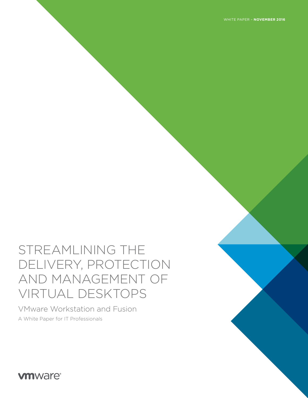# STREAMLINING THE DELIVERY, PROTECTION AND MANAGEMENT OF VIRTUAL DESKTOPS

VMware Workstation and Fusion A White Paper for IT Professionals

**vm**ware<sup>®</sup>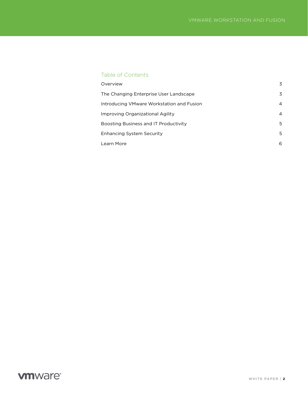# Table of Contents

| Overview                                  | 3 |
|-------------------------------------------|---|
| The Changing Enterprise User Landscape    | 3 |
| Introducing VMware Workstation and Fusion | 4 |
| Improving Organizational Agility          | 4 |
| Boosting Business and IT Productivity     | 5 |
| Enhancing System Security                 | 5 |
| Learn More                                | 6 |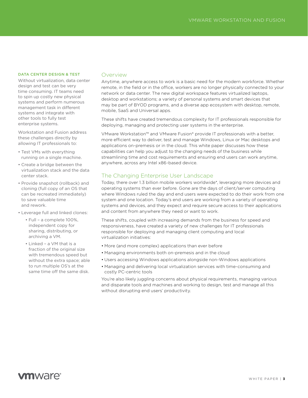### DATA CENTER DESIGN & TEST

Without virtualization, data center design and test can be very time consuming. IT teams need to spin up costly new physical systems and perform numerous management task in different systems and integrate with other tools to fully test enterprise systems.

Workstation and Fusion address these challenges directly by allowing IT professionals to:

- Test VMs with everything running on a single machine.
- Create a bridge between the virtualization stack and the data center stack.
- Provide snapshot (rollback) and cloning (full copy of an OS that can be recreated immediately) to save valuable time and rework.
- Leverage full and linked clones:
	- Full a complete 100%, independent copy for sharing, distributing, or archiving a VM.
	- Linked a VM that is a fraction of the original size with tremendous speed but without the extra space; able to run multiple OS's at the same time off the same disk.

#### **Overview**

Anytime, anywhere access to work is a basic need for the modern workforce. Whether remote, in the field or in the office, workers are no longer physically connected to your network or data center. The new digital workspace features virtualized laptops, desktop and workstations; a variety of personal systems and smart devices that may be part of BYOD programs, and a diverse app ecosystem with desktop, remote, mobile, SaaS and Universal apps.

These shifts have created tremendous complexity for IT professionals responsible for deploying, managing and protecting user systems in the enterprise.

VMware Workstation™ and VMware Fusion® provide IT professionals with a better, more efficient way to deliver, test and manage Windows, Linux or Mac desktops and applications on-premesis or in the cloud. This white paper discusses how these capabilities can help you adjust to the changing needs of the business while streamlining time and cost requirements and ensuring end users can work anytime, anywhere, across any Intel x86-based device.

# The Changing Enterprise User Landscape

Today, there over 1.3 billion mobile workers worldwide\*, leveraging more devices and operating systems than ever before. Gone are the days of client/server computing where Windows ruled the day and end users were expected to do their work from one system and one location. Today's end users are working from a variety of operating systems and devices, and they expect and require secure access to their applications and content from anywhere they need or want to work.

These shifts, coupled with increasing demands from the business for speed and responsiveness, have created a variety of new challenges for IT professionals responsible for deploying and managing client computing and local virtualization initiatives:

- More (and more complex) applications than ever before
- Managing environments both on-premesis and in the cloud
- Users accessing Windows applications alongside non-Windows applications
- Managing and delivering local virtualization services with time-consuming and costly PC-centric tools

You're also likely juggling concerns about physical requirements, managing various and disparate tools and machines and working to design, test and manage all this without disrupting end users' productivity.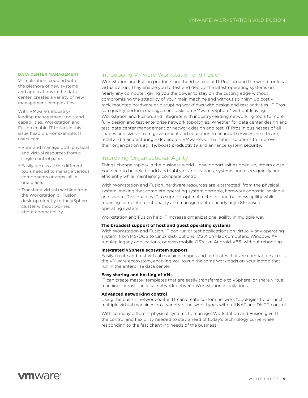#### DATA CENTER MANAGEMENT

Virtualization, coupled with the plethora of new systems and applications in the data center, creates a variety of new management complexities.

With VMware's industryleading management tools and capabilities, Workstation and Fusion enable IT to tackle this issue head on. For example, IT users can:

- View and manage both physical and virtual resources from a single control pane.
- Easily access all the different tools needed to manage various components or apps, all in one place.
- Transfer a virtual machine from the Workstation or Fusion desktop directly to the vSphere cluster without worries about compatibility.

## Introducing VMware Workstation and Fusion

Workstation and Fusion products are the #1 choice of IT Pros around the world for local virtualization. They enable you to test and deploy the latest operating systems on nearly any computer, giving you the power to stay on the cutting edge without compromising the sttability of your main machine and without spinning up costly rack-mounted hardware or disrupting workflows with design and test activities. IT Pros can quickly perform management tasks on VMware vSphere® without leaving Workstation and Fusion, and integrate with industry-leading networking tools to more fully design and test enterprise network topologies. Whether for data center design and test, data center management or network design and test, IT Pros in businesses of all shapes and sizes – from government and education to financial services, healthcare, retail and manufacturing – depend on VMware's virtualization solutions to improve their organization's agility, boost productivity and enhance system security.

# Improving Organizational Agility

Things change rapidly in the business world – new opportunities open up, others close. You need to be able to add and subtract applications, systems and users quickly and efficiently while maintaining complete control.

With Workstation and Fusion, hardware resources are 'abstracted' from the physical system, making that complete operating system portable, hardware agnostic, scalable and secure. This enables IT to support optimal technical and business agility while retaining complete functionality and management of nearly any x86-based operating system.

Workstation and Fusion help IT increase organizational agility in multiple way:

#### **The broadest support of host and guest operating systems**

With Workstation and Fusion, IT can run or test applications on virtually any operating system, from MS-DOS to Linux distributions, OS X on Mac computers, Windows XP running legacy applications, or even mobile OS's like Android-X86, without rebooting.

#### **Integrated vSphere ecosystem support**

Easily create and test virtual machine images and templates that are compatible across the VMware ecosystem, enabling you to run the same workloads on your laptop that run in the enterprise data center.

#### **Easy sharing and hosting of VMs**

IT can create master templates that are easily transferrable to vSphere, or share virtual machines across the local network between Workstation installations.

#### **Advanced networking control**

Using the built-in network editor, IT can create custom network topologies to connect multiple virtual machines on a variety of network types with full NAT and DHCP control.

With so many different physical systems to manage, Workstation and Fusion give IT the control and flexibility needed to stay ahead of today's technology curve while responding to the fast changing needs of the business.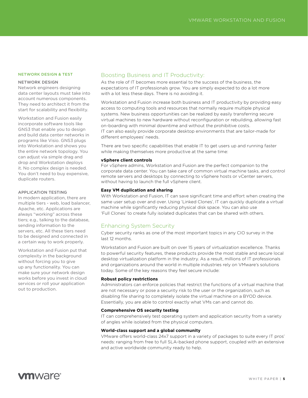#### NETWORK DESIGN & TEST

#### NETWORK DESIGN

Network engineers designing data center layouts must take into account numerous components. They need to architect it from the start for scalability and flexibility.

Workstation and Fusion easily incorporate software tools like GNS3 that enable you to design and build data center networks in programs like Visio. GNS3 plugs into Workstation and shows you the entire network topology. You can adjust via simple drag and drop and Workstation deploys it. No complex design is needed. You don't need to buy expensive, duplicate routers.

#### APPLICATION TESTING

In modern application, there are multiple tiers - web, load balancer, Apache, etc. Applications are always "working" across these tiers; e.g., talking to the database, sending information to the servers, etc. All these tiers need to be designed and connected in a certain way to work properly.

Workstation and Fusion put that complexity in the background without forcing you to give up any functionality. You can make sure your network design works before you invest in cloud services or roll your application out to production.

## Boosting Business and IT Productivity:

As the role of IT becomes more essential to the success of the business, the expectations of IT professionals grow. You are simply expected to do a lot more with a lot less these days. There is no avoiding it.

Workstation and Fusion increase both business and IT productivity by providing easy access to computing tools and resources that normally require multiple physical systems. New business opportunities can be realized by easily transferring secure virtual machines to new hardware without reconfiguration or rebuilding, allowing fast on-boarding with minimal downtime and without the prohibitive costs. IT can also easily provide corporate desktop environments that are tailor-made for different employees' needs.

There are two specific capabilities that enable IT to get users up and running faster while making themselves more productive at the same time:

#### **vSphere client controls**

For vSphere admins, Workstation and Fusion are the perfect companion to the corporate data center. You can take care of common virtual machine tasks, and control remote servers and desktops by connecting to vSphere hosts or vCenter servers, without having to launch the full vSphere client.

#### **Easy VM duplication and sharing**

With Workstation and Fusion, IT can save significant time and effort when creating the same user setup over and over. Using 'Linked Clones', IT can quickly duplicate a virtual machine while significantly reducing physical disk space. You can also use 'Full Clones' to create fully isolated duplicates that can be shared with others.

# Enhancing System Security

Cyber security ranks as one of the most important topics in any CIO survey in the last 12 months.

Workstation and Fusion are built on over 15 years of virtualization excellence. Thanks to powerful security features, these products provide the most stable and secure local desktop virtualization platform in the industry. As a result, millions of IT professionals and organizations around the world in multiple industries rely on VMware's solutions today. Some of the key reasons they feel secure include:

#### **Robust policy restrictions**

Administrators can enforce policies that restrict the functions of a virtual machine that are not necessary or pose a security risk to the user or the organization, such as disabling file sharing to completely isolate the virtual machine on a BYOD device. Essentially, you are able to control exactly what VMs can and cannot do.

#### **Comprehensive OS security testing**

IT can comprehensively test operating system and application security from a variety of angles while isolated from the physical computers.

#### **World-class support and a global community**

VMware offers world-class 24x7 support in a variety of packages to suite every IT pros' needs: ranging from free to full SLA-backed phone support, coupled with an extensive and active worldwide community ready to help.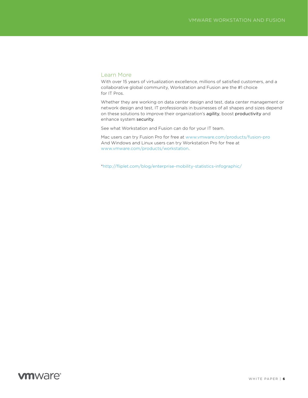# Learn More

With over 15 years of virtualization excellence, millions of satisfied customers, and a collaborative global community, Workstation and Fusion are the #1 choice for IT Pros.

Whether they are working on data center design and test, data center management or network design and test, IT professionals in businesses of all shapes and sizes depend on these solutions to improve their organization's agility, boost productivity and enhance system security.

See what Workstation and Fusion can do for your IT team.

Mac users can try Fusion Pro for free at<www.vmware.com/products/fusion-pro> And Windows and Linux users can try Workstation Pro for free at <www.vmware.com/products/workstation>.

\*<http://fliplet.com/blog/enterprise-mobility-statistics-infographic/>

# **vm**ware<sup>®</sup>